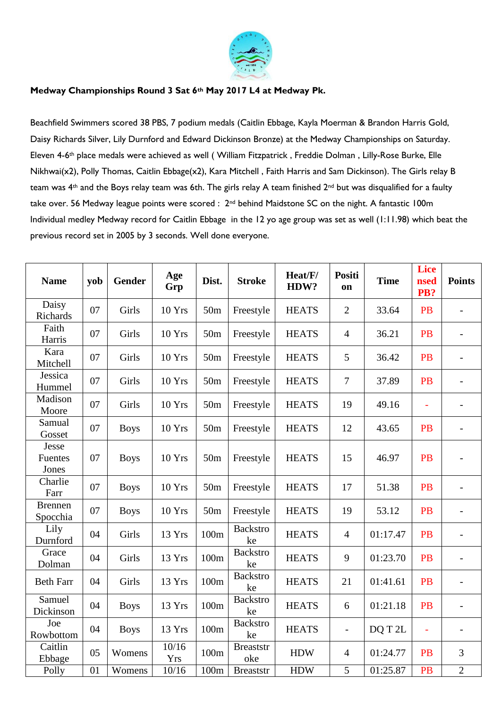

## **Medway Championships Round 3 Sat 6th May 2017 L4 at Medway Pk.**

Beachfield Swimmers scored 38 PBS, 7 podium medals (Caitlin Ebbage, Kayla Moerman & Brandon Harris Gold, Daisy Richards Silver, Lily Durnford and Edward Dickinson Bronze) at the Medway Championships on Saturday. Eleven 4-6th place medals were achieved as well ( William Fitzpatrick , Freddie Dolman , Lilly-Rose Burke, Elle Nikhwai(x2), Polly Thomas, Caitlin Ebbage(x2), Kara Mitchell , Faith Harris and Sam Dickinson). The Girls relay B team was 4<sup>th</sup> and the Boys relay team was 6th. The girls relay A team finished 2<sup>nd</sup> but was disqualified for a faulty take over. 56 Medway league points were scored : 2<sup>nd</sup> behind Maidstone SC on the night. A fantastic 100m Individual medley Medway record for Caitlin Ebbage in the 12 yo age group was set as well (1:11.98) which beat the previous record set in 2005 by 3 seconds. Well done everyone.

| <b>Name</b>                | yob | <b>Gender</b> | Age<br>Grp          | Dist.           | <b>Stroke</b>           | Heat/F/<br>HDW? | <b>Positi</b><br>on      | <b>Time</b> | <b>Lice</b><br><b>nsed</b><br>PB? | <b>Points</b>            |
|----------------------------|-----|---------------|---------------------|-----------------|-------------------------|-----------------|--------------------------|-------------|-----------------------------------|--------------------------|
| Daisy<br>Richards          | 07  | Girls         | <b>10 Yrs</b>       | 50 <sub>m</sub> | Freestyle               | <b>HEATS</b>    | $\overline{2}$           | 33.64       | <b>PB</b>                         | $\overline{\phantom{0}}$ |
| Faith<br>Harris            | 07  | Girls         | 10 Yrs              | 50 <sub>m</sub> | Freestyle               | <b>HEATS</b>    | $\overline{4}$           | 36.21       | <b>PB</b>                         | $\overline{a}$           |
| Kara<br>Mitchell           | 07  | Girls         | 10 Yrs              | 50 <sub>m</sub> | Freestyle               | <b>HEATS</b>    | 5                        | 36.42       | <b>PB</b>                         | $\overline{\phantom{0}}$ |
| Jessica<br>Hummel          | 07  | Girls         | 10 Yrs              | 50 <sub>m</sub> | Freestyle               | <b>HEATS</b>    | $\overline{7}$           | 37.89       | <b>PB</b>                         | $\overline{\phantom{a}}$ |
| Madison<br>Moore           | 07  | Girls         | 10 Yrs              | 50 <sub>m</sub> | Freestyle               | <b>HEATS</b>    | 19                       | 49.16       | ÷,                                | $\overline{\phantom{0}}$ |
| Samual<br>Gosset           | 07  | <b>Boys</b>   | 10 Yrs              | 50 <sub>m</sub> | Freestyle               | <b>HEATS</b>    | 12                       | 43.65       | <b>PB</b>                         | $\overline{\phantom{0}}$ |
| Jesse<br>Fuentes<br>Jones  | 07  | <b>Boys</b>   | 10 Yrs              | 50 <sub>m</sub> | Freestyle               | <b>HEATS</b>    | 15                       | 46.97       | <b>PB</b>                         | $\overline{\phantom{0}}$ |
| Charlie<br>Farr            | 07  | <b>Boys</b>   | 10 Yrs              | 50 <sub>m</sub> | Freestyle               | <b>HEATS</b>    | 17                       | 51.38       | <b>PB</b>                         | $\overline{a}$           |
| <b>Brennen</b><br>Spocchia | 07  | <b>Boys</b>   | 10 Yrs              | 50 <sub>m</sub> | Freestyle               | <b>HEATS</b>    | 19                       | 53.12       | <b>PB</b>                         | $\overline{\phantom{0}}$ |
| Lily<br>Durnford           | 04  | Girls         | 13 Yrs              | 100m            | <b>Backstro</b><br>ke   | <b>HEATS</b>    | $\overline{4}$           | 01:17.47    | <b>PB</b>                         | $\overline{a}$           |
| Grace<br>Dolman            | 04  | Girls         | 13 Yrs              | 100m            | <b>Backstro</b><br>ke   | <b>HEATS</b>    | 9                        | 01:23.70    | <b>PB</b>                         | $\overline{a}$           |
| <b>Beth Farr</b>           | 04  | Girls         | 13 Yrs              | 100m            | <b>Backstro</b><br>ke   | <b>HEATS</b>    | 21                       | 01:41.61    | <b>PB</b>                         | $\overline{\phantom{0}}$ |
| Samuel<br>Dickinson        | 04  | <b>Boys</b>   | 13 Yrs              | 100m            | <b>Backstro</b><br>ke   | <b>HEATS</b>    | 6                        | 01:21.18    | <b>PB</b>                         | $\overline{\phantom{0}}$ |
| Joe<br>Rowbottom           | 04  | <b>Boys</b>   | 13 Yrs              | 100m            | <b>Backstro</b><br>ke   | <b>HEATS</b>    | $\overline{\phantom{a}}$ | DQ T 2L     | $\bar{\phantom{a}}$               | $\overline{a}$           |
| Caitlin<br>Ebbage          | 05  | Womens        | 10/16<br><b>Yrs</b> | 100m            | <b>Breaststr</b><br>oke | <b>HDW</b>      | $\overline{4}$           | 01:24.77    | <b>PB</b>                         | $\mathfrak{Z}$           |
| Polly                      | 01  | Womens        | 10/16               | 100m            | <b>Breaststr</b>        | <b>HDW</b>      | 5                        | 01:25.87    | <b>PB</b>                         | $\overline{2}$           |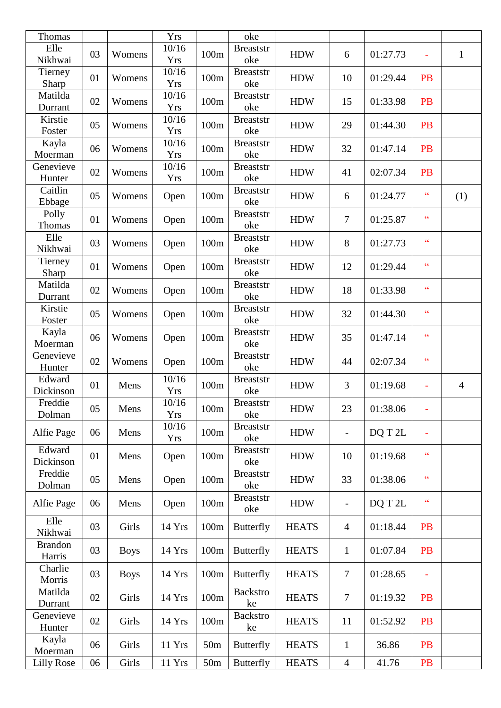| Thomas                   |    |             | Yrs                 |                 | oke                     |              |                          |          |                          |                |
|--------------------------|----|-------------|---------------------|-----------------|-------------------------|--------------|--------------------------|----------|--------------------------|----------------|
| Elle<br>Nikhwai          | 03 | Womens      | 10/16<br><b>Yrs</b> | 100m            | <b>Breaststr</b><br>oke | <b>HDW</b>   | 6                        | 01:27.73 | ÷,                       | $\mathbf{1}$   |
| Tierney<br>Sharp         | 01 | Womens      | 10/16<br><b>Yrs</b> | 100m            | <b>Breaststr</b><br>oke | <b>HDW</b>   | 10                       | 01:29.44 | PB                       |                |
| Matilda<br>Durrant       | 02 | Womens      | 10/16<br><b>Yrs</b> | 100m            | <b>Breaststr</b><br>oke | <b>HDW</b>   | 15                       | 01:33.98 | PB                       |                |
| Kirstie<br>Foster        | 05 | Womens      | 10/16<br><b>Yrs</b> | 100m            | <b>Breaststr</b><br>oke | <b>HDW</b>   | 29                       | 01:44.30 | <b>PB</b>                |                |
| Kayla<br>Moerman         | 06 | Womens      | 10/16<br><b>Yrs</b> | 100m            | <b>Breaststr</b><br>oke | <b>HDW</b>   | 32                       | 01:47.14 | PB                       |                |
| Genevieve<br>Hunter      | 02 | Womens      | 10/16<br><b>Yrs</b> | 100m            | <b>Breaststr</b><br>oke | <b>HDW</b>   | 41                       | 02:07.34 | PB                       |                |
| Caitlin<br>Ebbage        | 05 | Womens      | Open                | 100m            | <b>Breaststr</b><br>oke | <b>HDW</b>   | 6                        | 01:24.77 | $\zeta\zeta$             | (1)            |
| Polly<br>Thomas          | 01 | Womens      | Open                | 100m            | <b>Breaststr</b><br>oke | <b>HDW</b>   | 7                        | 01:25.87 | $\overline{\mathcal{L}}$ |                |
| Elle<br>Nikhwai          | 03 | Womens      | Open                | 100m            | <b>Breaststr</b><br>oke | <b>HDW</b>   | 8                        | 01:27.73 | $\overline{66}$          |                |
| Tierney<br>Sharp         | 01 | Womens      | Open                | 100m            | <b>Breaststr</b><br>oke | <b>HDW</b>   | 12                       | 01:29.44 | $\overline{\mathcal{L}}$ |                |
| Matilda<br>Durrant       | 02 | Womens      | Open                | 100m            | <b>Breaststr</b><br>oke | <b>HDW</b>   | 18                       | 01:33.98 | $\overline{\mathcal{L}}$ |                |
| Kirstie<br>Foster        | 05 | Womens      | Open                | 100m            | <b>Breaststr</b><br>oke | <b>HDW</b>   | 32                       | 01:44.30 | $\overline{66}$          |                |
| Kayla<br>Moerman         | 06 | Womens      | Open                | 100m            | <b>Breaststr</b><br>oke | <b>HDW</b>   | 35                       | 01:47.14 | $\overline{\mathcal{L}}$ |                |
| Genevieve<br>Hunter      | 02 | Womens      | Open                | 100m            | <b>Breaststr</b><br>oke | <b>HDW</b>   | 44                       | 02:07.34 | $\overline{\mathcal{L}}$ |                |
| Edward<br>Dickinson      | 01 | Mens        | 10/16<br><b>Yrs</b> | 100m            | <b>Breaststr</b><br>oke | <b>HDW</b>   | 3                        | 01:19.68 | ÷,                       | $\overline{4}$ |
| Freddie<br>Dolman        | 05 | Mens        | 10/16<br><b>Yrs</b> | 100m            | <b>Breaststr</b><br>oke | <b>HDW</b>   | 23                       | 01:38.06 | $\overline{\phantom{a}}$ |                |
| Alfie Page               | 06 | Mens        | 10/16<br>Yrs        | 100m            | <b>Breaststr</b><br>oke | <b>HDW</b>   |                          | DQ T 2L  |                          |                |
| Edward<br>Dickinson      | 01 | Mens        | Open                | 100m            | <b>Breaststr</b><br>oke | <b>HDW</b>   | 10                       | 01:19.68 | $\overline{\mathcal{L}}$ |                |
| Freddie<br>Dolman        | 05 | Mens        | Open                | 100m            | <b>Breaststr</b><br>oke | <b>HDW</b>   | 33                       | 01:38.06 | $\overline{\mathcal{L}}$ |                |
| Alfie Page               | 06 | Mens        | Open                | 100m            | <b>Breaststr</b><br>oke | <b>HDW</b>   | $\overline{\phantom{a}}$ | DQ T 2L  | $\zeta\,\zeta$           |                |
| Elle<br>Nikhwai          | 03 | Girls       | 14 Yrs              | 100m            | <b>Butterfly</b>        | <b>HEATS</b> | $\overline{4}$           | 01:18.44 | PB                       |                |
| <b>Brandon</b><br>Harris | 03 | <b>Boys</b> | 14 Yrs              | 100m            | <b>Butterfly</b>        | <b>HEATS</b> | $\mathbf{1}$             | 01:07.84 | <b>PB</b>                |                |
| Charlie<br>Morris        | 03 | <b>Boys</b> | 14 Yrs              | 100m            | <b>Butterfly</b>        | <b>HEATS</b> | $\overline{7}$           | 01:28.65 | $\equiv$                 |                |
| Matilda<br>Durrant       | 02 | Girls       | 14 Yrs              | 100m            | <b>Backstro</b><br>ke   | <b>HEATS</b> | 7                        | 01:19.32 | <b>PB</b>                |                |
| Genevieve<br>Hunter      | 02 | Girls       | 14 Yrs              | 100m            | <b>Backstro</b><br>ke   | <b>HEATS</b> | 11                       | 01:52.92 | PB                       |                |
| Kayla<br>Moerman         | 06 | Girls       | 11 Yrs              | 50 <sub>m</sub> | <b>Butterfly</b>        | <b>HEATS</b> | $\mathbf{1}$             | 36.86    | PB                       |                |
| <b>Lilly Rose</b>        | 06 | Girls       | 11 Yrs              | 50m             | <b>Butterfly</b>        | <b>HEATS</b> | $\overline{4}$           | 41.76    | PB                       |                |